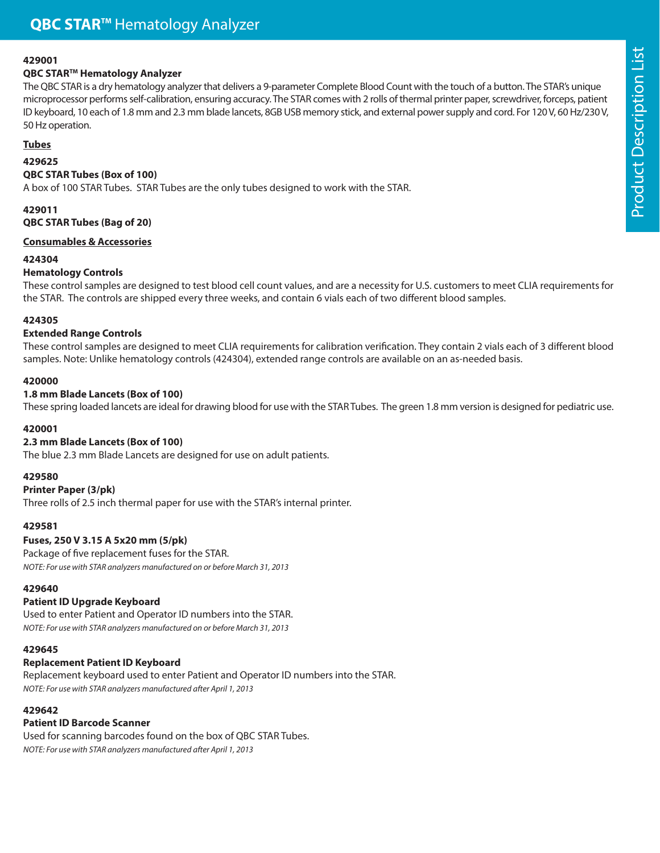### **429001**

### **QBC STARTM Hematology Analyzer**

The QBC STAR is a dry hematology analyzer that delivers a 9-parameter Complete Blood Count with the touch of a button. The STAR's unique microprocessor performs self-calibration, ensuring accuracy. The STAR comes with 2 rolls of thermal printer paper, screwdriver, forceps, patient ID keyboard, 10 each of 1.8 mm and 2.3 mm blade lancets, 8GB USB memory stick, and external power supply and cord. For 120 V, 60 Hz/230 V, 50 Hz operation.

## **Tubes**

# **429625**

**QBC STAR Tubes (Box of 100)**  A box of 100 STAR Tubes. STAR Tubes are the only tubes designed to work with the STAR.

## **429011 QBC STAR Tubes (Bag of 20)**

### **Consumables & Accessories**

### **424304**

## **Hematology Controls**

These control samples are designed to test blood cell count values, and are a necessity for U.S. customers to meet CLIA requirements for the STAR. The controls are shipped every three weeks, and contain 6 vials each of two different blood samples.

## **424305**

## **Extended Range Controls**

These control samples are designed to meet CLIA requirements for calibration verification. They contain 2 vials each of 3 different blood samples. Note: Unlike hematology controls (424304), extended range controls are available on an as-needed basis.

## **420000**

## **1.8 mm Blade Lancets (Box of 100)**

These spring loaded lancets are ideal for drawing blood for use with the STAR Tubes. The green 1.8 mm version is designed for pediatric use.

## **420001**

## **2.3 mm Blade Lancets (Box of 100)**

The blue 2.3 mm Blade Lancets are designed for use on adult patients.

## **429580**

### **Printer Paper (3/pk)**

Three rolls of 2.5 inch thermal paper for use with the STAR's internal printer.

### **429581**

### **Fuses, 250 V 3.15 A 5x20 mm (5/pk)**

Package of five replacement fuses for the STAR. NOTE: For use with STAR analyzers manufactured on or before March 31, 2013

### **429640**

### **Patient ID Upgrade Keyboard**

Used to enter Patient and Operator ID numbers into the STAR. NOTE: For use with STAR analyzers manufactured on or before March 31, 2013

### **429645**

### **Replacement Patient ID Keyboard**

Replacement keyboard used to enter Patient and Operator ID numbers into the STAR. NOTE: For use with STAR analyzers manufactured after April 1, 2013

### **429642**

### **Patient ID Barcode Scanner**

Used for scanning barcodes found on the box of QBC STAR Tubes. NOTE: For use with STAR analyzers manufactured after April 1, 2013